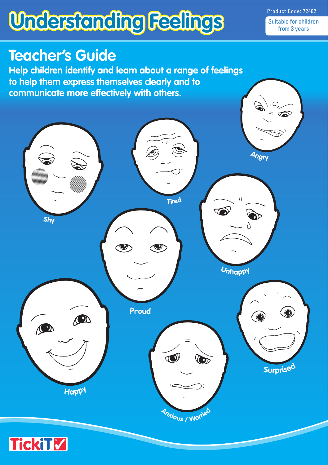# **Understanding Feelings**

Product Code: 72402 Suitable for children from 3 years

### **Teacher's Guide**

**Help children identify and learn about a range of feelings to help them express themselves clearly and to communicate more effectively with others.**

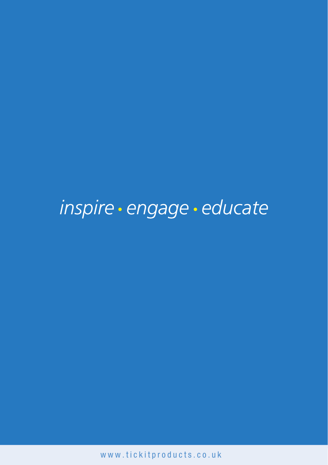## inspire · engage · educate

www.tickitproducts.co.uk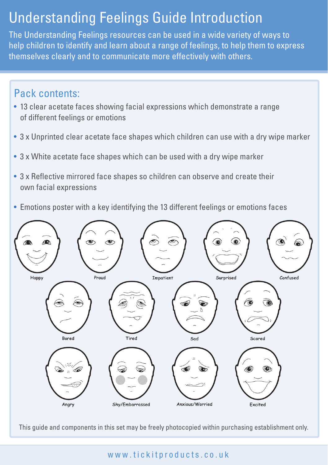### Understanding Feelings Guide Introduction

The Understanding Feelings resources can be used in a wide variety of ways to help children to identify and learn about a range of feelings, to help them to express themselves clearly and to communicate more effectively with others.

#### Pack contents:

- 13 clear acetate faces showing facial expressions which demonstrate a range of different feelings or emotions
- 3 x Unprinted clear acetate face shapes which children can use with a dry wipe marker
- 3 x White acetate face shapes which can be used with a dry wipe marker
- 3 x Reflective mirrored face shapes so children can observe and create their own facial expressions
- Emotions poster with a key identifying the 13 different feelings or emotions faces



This guide and components in this set may be freely photocopied within purchasing establishment only.

www.tickitproducts.co.uk www.tickitproducts.co.uk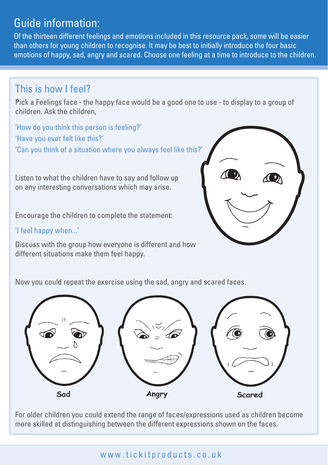#### Guide information:

Of the thirteen different feelings and emotions included in this resource pack, some will be easier than others for young children to recognise. It may be best to initially introduce the four basic emotions of happy, sad, angry and scared. Choose one feeling at a time to introduce to the children.

#### This is how I feel?

Pick a Feelings face - the happy face would be a good one to use - to display to a group of children. Ask the children,

'How do you think this person is feeling?' 'Have you ever felt like this?' 'Can you think of a situation where you always feel like this?'

Listen to what the children have to say and follow up on any interesting conversations which may arise.

Encourage the children to complete the statement:

#### 'I feel happy when...'

Discuss with the group how everyone is different and how different situations make them feel happy.



Now you could repeat the exercise using the sad, angry and scared faces.



For older children you could extend the range of faces/expressions used as children become more skilled at distinguishing between the different expressions shown on the faces.

#### www.tickitproducts.co.uk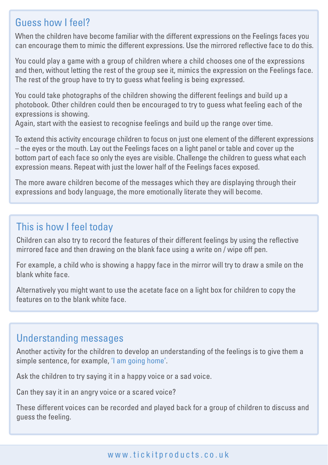#### Guess how I feel?

When the children have become familiar with the different expressions on the Feelings faces you can encourage them to mimic the different expressions. Use the mirrored reflective face to do this.

You could play a game with a group of children where a child chooses one of the expressions and then, without letting the rest of the group see it, mimics the expression on the Feelings face. The rest of the group have to try to guess what feeling is being expressed.

You could take photographs of the children showing the different feelings and build up a photobook. Other children could then be encouraged to try to guess what feeling each of the expressions is showing.

Again, start with the easiest to recognise feelings and build up the range over time.

To extend this activity encourage children to focus on just one element of the different expressions – the eyes or the mouth. Lay out the Feelings faces on a light panel or table and cover up the bottom part of each face so only the eyes are visible. Challenge the children to guess what each expression means. Repeat with just the lower half of the Feelings faces exposed.

The more aware children become of the messages which they are displaying through their expressions and body language, the more emotionally literate they will become.

#### This is how I feel today

Children can also try to record the features of their different feelings by using the reflective mirrored face and then drawing on the blank face using a write on / wipe off pen.

For example, a child who is showing a happy face in the mirror will try to draw a smile on the blank white face.

Alternatively you might want to use the acetate face on a light box for children to copy the features on to the blank white face.

#### Understanding messages

Another activity for the children to develop an understanding of the feelings is to give them a simple sentence, for example, 'I am going home'.

Ask the children to try saying it in a happy voice or a sad voice.

Can they say it in an angry voice or a scared voice?

These different voices can be recorded and played back for a group of children to discuss and guess the feeling.

#### www.tickitproducts.co.uk www.tickitproducts.co.uk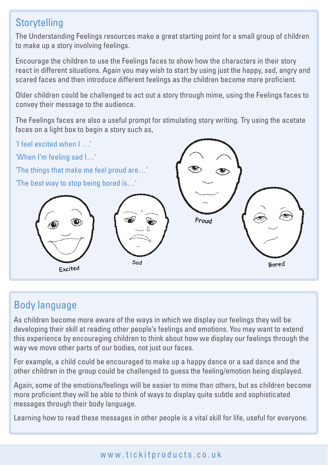#### **Storytelling**

The Understanding Feelings resources make a great starting point for a small group of children to make up a story involving feelings.

Encourage the children to use the Feelings faces to show how the characters in their story react in different situations. Again you may wish to start by using just the happy, sad, angry and scared faces and then introduce different feelings as the children become more proficient.

Older children could be challenged to act out a story through mime, using the Feelings faces to convey their message to the audience.

The Feelings faces are also a useful prompt for stimulating story writing. Try using the acetate faces on a light box to begin a story such as,



#### Body language

As children become more aware of the ways in which we display our feelings they will be developing their skill at reading other people's feelings and emotions. You may want to extend this experience by encouraging children to think about how we display our feelings through the way we move other parts of our bodies, not just our faces.

For example, a child could be encouraged to make up a happy dance or a sad dance and the other children in the group could be challenged to guess the feeling/emotion being displayed.

Again, some of the emotions/feelings will be easier to mime than others, but as children become more proficient they will be able to think of ways to display quite subtle and sophisticated messages through their body language.

Learning how to read these messages in other people is a vital skill for life, useful for everyone.

#### www.tickitproducts.co.uk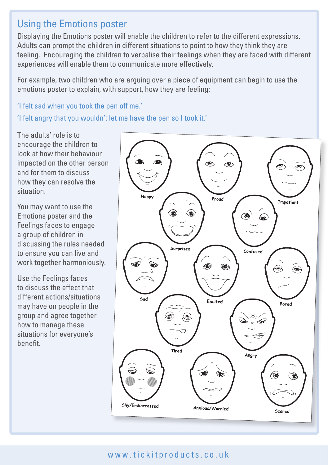#### Using the Emotions poster

Displaying the Emotions poster will enable the children to refer to the different expressions. Adults can prompt the children in different situations to point to how they think they are feeling. Encouraging the children to verbalise their feelings when they are faced with different experiences will enable them to communicate more effectively.

For example, two children who are arguing over a piece of equipment can begin to use the emotions poster to explain, with support, how they are feeling:

'I felt sad when you took the pen off me.'

'I felt angry that you wouldn't let me have the pen so I took it.'

The adults' role is to encourage the children to look at how their behaviour impacted on the other person and for them to discuss how they can resolve the situation.

You may want to use the Emotions poster and the Feelings faces to engage a group of children in discussing the rules needed to ensure you can live and work together harmoniously.

Use the Feelings faces to discuss the effect that different actions/situations may have on people in the group and agree together how to manage these situations for everyone's benefit.